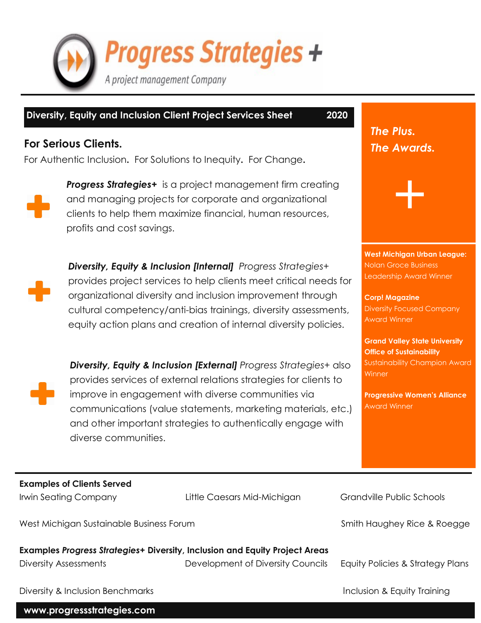

## **Diversity, Equity and Inclusion Client Project Services Sheet 2020**

## **For Serious Clients.**

For Authentic Inclusion**.** For Solutions to Inequity**.** For Change**.**



*Progress Strategies+* is a project management firm creating and managing projects for corporate and organizational clients to help them maximize financial, human resources, profits and cost savings.



*Diversity, Equity & Inclusion [Internal] Progress Strategies+*  provides project services to help clients meet critical needs for organizational diversity and inclusion improvement through cultural competency/anti-bias trainings, diversity assessments, equity action plans and creation of internal diversity policies.

*Diversity, Equity & Inclusion [External] Progress Strategies+* also provides services of external relations strategies for clients to improve in engagement with diverse communities via communications (value statements, marketing materials, etc.) and other important strategies to authentically engage with diverse communities.

*The Plus. The Awards.*

**West Michigan Urban League:** Nolan Groce Business Leadership Award Winner

+

**Corp! Magazine** Diversity Focused Company Award Winner

**Grand Valley State University Office of Sustainability** Sustainability Champion Award **Winner** 

**Progressive Women's Alliance** Award Winner

**Examples of Clients Served**

Irwin Seating Company **Little Caesars Mid-Michigan** Grandville Public Schools

West Michigan Sustainable Business Forum Smith Haughey Rice & Roegge

**Examples** *Progress Strategies+* **Diversity, Inclusion and Equity Project Areas** Diversity Assessments Development of Diversity Councils Equity Policies & Strategy Plans

Diversity & Inclusion Benchmarks **Inclusion & Equity Training** 

**www.progressstrategies.com**